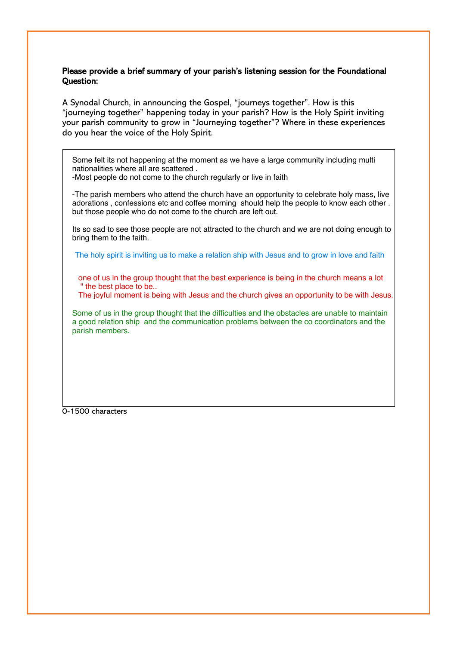#### Please provide a brief summary of your parish's listening session for the Foundational Question:

A Synodal Church, in announcing the Gospel, "journeys together". How is this "journeying together" happening today in your parish? How is the Holy Spirit inviting your parish community to grow in "Journeying together"? Where in these experiences do you hear the voice of the Holy Spirit.

Some felt its not happening at the moment as we have a large community including multi nationalities where all are scattered .

-Most people do not come to the church regularly or live in faith

-The parish members who attend the church have an opportunity to celebrate holy mass, live adorations , confessions etc and coffee morning should help the people to know each other . but those people who do not come to the church are left out.

Its so sad to see those people are not attracted to the church and we are not doing enough to bring them to the faith.

The holy spirit is inviting us to make a relation ship with Jesus and to grow in love and faith

one of us in the group thought that the best experience is being in the church means a lot " the best place to be..

The joyful moment is being with Jesus and the church gives an opportunity to be with Jesus.

Some of us in the group thought that the difficulties and the obstacles are unable to maintain a good relation ship and the communication problems between the co coordinators and the parish members.

0-1500 characters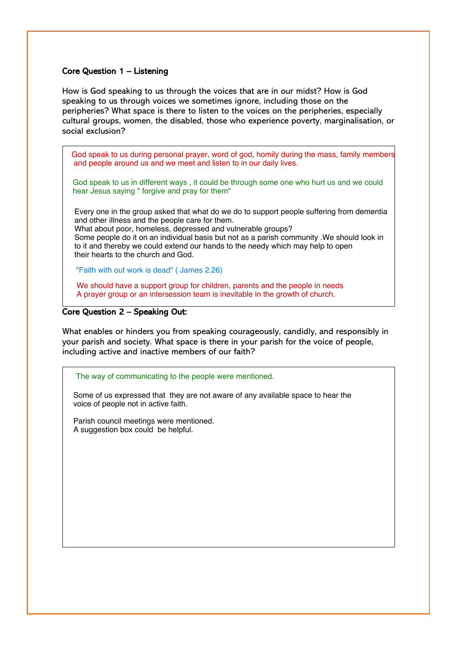## Core Question  $1 -$  Listening

How is God speaking to us through the voices that are in our midst? How is God speaking to us through voices we sometimes ignore, including those on the peripheries? What space is there to listen to the voices on the peripheries, especially cultural groups, women, the disabled, those who experience poverty, marginalisation, or social exclusion?

God speak to us during personal prayer, word of god, homily during the mass, family members and people around us and we meet and listen to in our daily lives.

God speak to us in different ways , it could be through some one who hurt us and we could hear Jesus saying " forgive and pray for them"

Every one in the group asked that what do we do to support people suffering from dementia and other illness and the people care for them.

What about poor, homeless, depressed and vulnerable groups? Some people do it on an individual basis but not as a parish community .We should look in to it and thereby we could extend our hands to the needy which may help to open their hearts to the church and God.

"Faith with out work is dead" ( James 2.26)

We should have a support group for children, parents and the people in needs A prayer group or an intersession team is inevitable in the growth of church.

#### Core Question 2 - Speaking Out:

What enables or hinders you from speaking courageously, candidly, and responsibly in your parish and society. What space is there in your parish for the voice of people, including active and inactive members of our faith?

The way of communicating to the people were mentioned.

Some of us expressed that they are not aware of any available space to hear the voice of people not in active faith.

Parish council meetings were mentioned. A suggestion box could be helpful.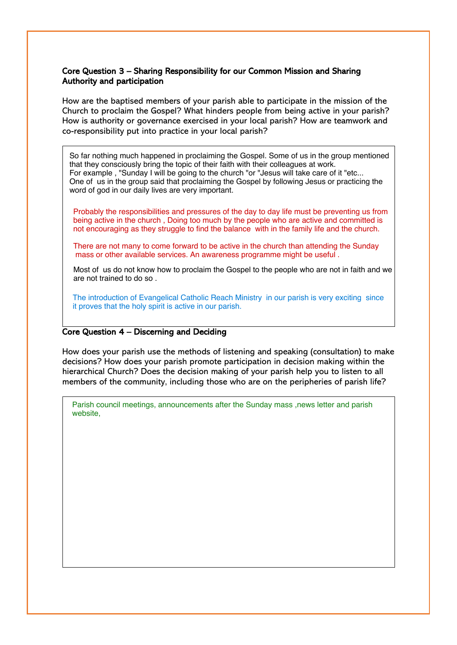## Core Question 3 - Sharing Responsibility for our Common Mission and Sharing Authority and participation

How are the baptised members of your parish able to participate in the mission of the Church to proclaim the Gospel? What hinders people from being active in your parish? How is authority or governance exercised in your local parish? How are teamwork and co-responsibility put into practice in your local parish?

 that they consciously bring the topic of their faith with their colleagues at work. For example , "Sunday I will be going to the church "or "Jesus will take care of it "etc... One of us in the group said that proclaiming the Gospel by following Jesus or practicing the word of god in our daily lives are very important. So far nothing much happened in proclaiming the Gospel. Some of us in the group mentioned

 Probably the responsibilities and pressures of the day to day life must be preventing us from being active in the church , Doing too much by the people who are active and committed is not encouraging as they struggle to find the balance with in the family life and the church.

 There are not many to come forward to be active in the church than attending the Sunday mass or other available services. An awareness programme might be useful .

Most of us do not know how to proclaim the Gospel to the people who are not in faith and we are not trained to do so .

The introduction of Evangelical Catholic Reach Ministry in our parish is very exciting since it proves that the holy spirit is active in our parish.

## Core Question  $4 -$  Discerning and Deciding

How does your parish use the methods of listening and speaking (consultation) to make decisions? How does your parish promote participation in decision making within the hierarchical Church? Does the decision making of your parish help you to listen to all members of the community, including those who are on the peripheries of parish life?

Parish council meetings, announcements after the Sunday mass ,news letter and parish website,